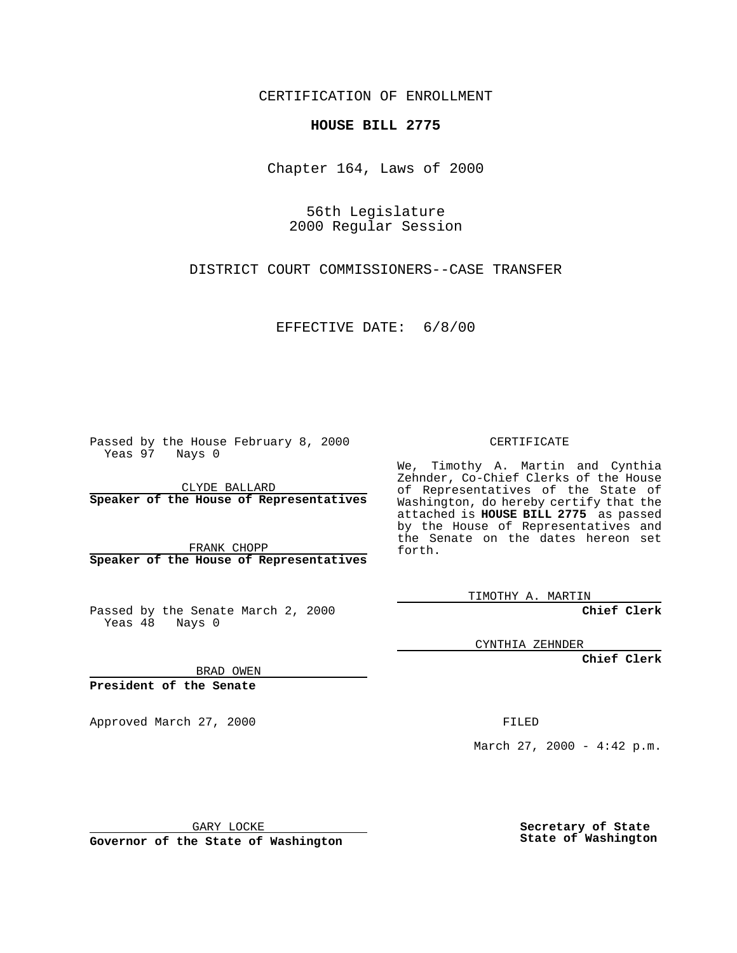CERTIFICATION OF ENROLLMENT

## **HOUSE BILL 2775**

Chapter 164, Laws of 2000

56th Legislature 2000 Regular Session

DISTRICT COURT COMMISSIONERS--CASE TRANSFER

EFFECTIVE DATE: 6/8/00

Passed by the House February 8, 2000 Yeas 97 Nays 0

CLYDE BALLARD **Speaker of the House of Representatives**

FRANK CHOPP **Speaker of the House of Representatives**

Passed by the Senate March 2, 2000 Yeas  $48$  Nays 0

CERTIFICATE

We, Timothy A. Martin and Cynthia Zehnder, Co-Chief Clerks of the House of Representatives of the State of Washington, do hereby certify that the attached is **HOUSE BILL 2775** as passed by the House of Representatives and the Senate on the dates hereon set forth.

TIMOTHY A. MARTIN

**Chief Clerk**

CYNTHIA ZEHNDER

**Chief Clerk**

BRAD OWEN

**President of the Senate**

Approved March 27, 2000 FILED

March 27, 2000 - 4:42 p.m.

GARY LOCKE

**Governor of the State of Washington**

**Secretary of State State of Washington**